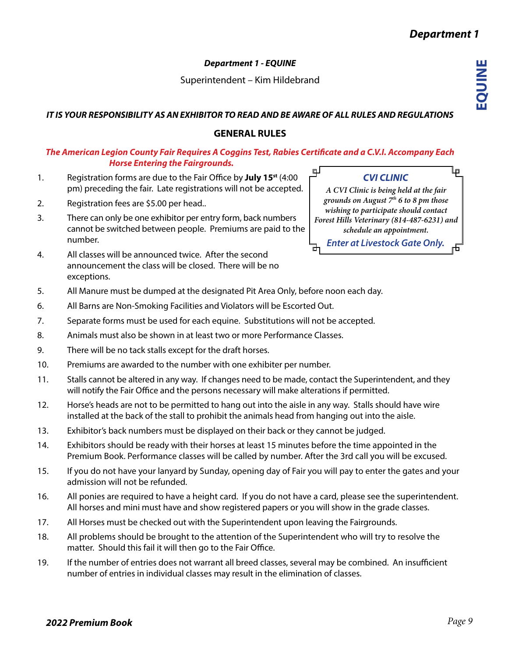Superintendent – Kim Hildebrand

# *IT IS YOUR RESPONSIBILITY AS AN EXHIBITOR TO READ AND BE AWARE OF ALL RULES AND REGULATIONS*

# **GENERAL RULES**

#### *The American Legion County Fair Requires A Coggins Test, Rabies Certificate and a C.V.I. Accompany Each Horse Entering the Fairgrounds.* ப

- 1. Registration forms are due to the Fair Office by **July 15st** (4:00 pm) preceding the fair. Late registrations will not be accepted.
- 2. Registration fees are \$5.00 per head..
- 3. There can only be one exhibitor per entry form, back numbers cannot be switched between people. Premiums are paid to the number.
- 4. All classes will be announced twice. After the second announcement the class will be closed. There will be no exceptions.
- 5. All Manure must be dumped at the designated Pit Area Only, before noon each day.
- 6. All Barns are Non-Smoking Facilities and Violators will be Escorted Out.
- 7. Separate forms must be used for each equine. Substitutions will not be accepted.
- 8. Animals must also be shown in at least two or more Performance Classes.
- 9. There will be no tack stalls except for the draft horses.
- 10. Premiums are awarded to the number with one exhibiter per number.
- 11. Stalls cannot be altered in any way. If changes need to be made, contact the Superintendent, and they will notify the Fair Office and the persons necessary will make alterations if permitted.
- 12. Horse's heads are not to be permitted to hang out into the aisle in any way. Stalls should have wire installed at the back of the stall to prohibit the animals head from hanging out into the aisle.
- 13. Exhibitor's back numbers must be displayed on their back or they cannot be judged.
- 14. Exhibitors should be ready with their horses at least 15 minutes before the time appointed in the Premium Book. Performance classes will be called by number. After the 3rd call you will be excused.
- 15. If you do not have your lanyard by Sunday, opening day of Fair you will pay to enter the gates and your admission will not be refunded.
- 16. All ponies are required to have a height card. If you do not have a card, please see the superintendent. All horses and mini must have and show registered papers or you will show in the grade classes.
- 17. All Horses must be checked out with the Superintendent upon leaving the Fairgrounds.
- 18. All problems should be brought to the attention of the Superintendent who will try to resolve the matter. Should this fail it will then go to the Fair Office.
- 19. If the number of entries does not warrant all breed classes, several may be combined. An insufficient number of entries in individual classes may result in the elimination of classes.

# *CVI CLINIC*

*A CVI Clinic is being held at the fair grounds on August 7th 6 to 8 pm those wishing to participate should contact Forest Hills Veterinary (814-487-6231) and schedule an appointment.* 

*Enter at Livestock Gate Only.*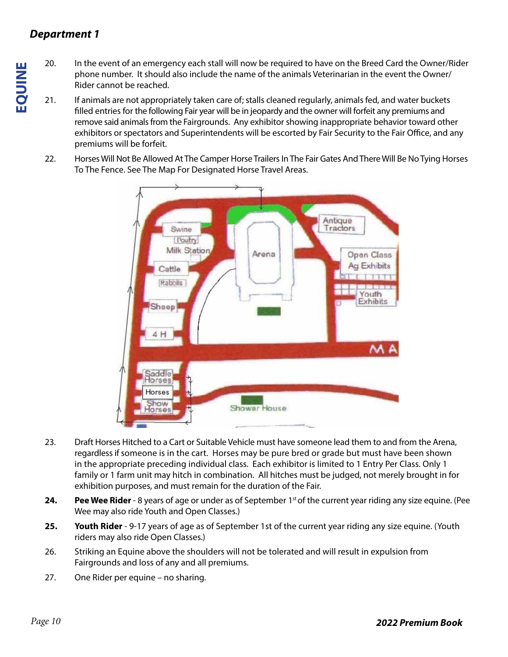# *Department 1*

- 20. In the event of an emergency each stall will now be required to have on the Breed Card the Owner/Rider phone number. It should also include the name of the animals Veterinarian in the event the Owner/ Rider cannot be reached.
- 21. If animals are not appropriately taken care of; stalls cleaned regularly, animals fed, and water buckets filled entries for the following Fair year will be in jeopardy and the owner will forfeit any premiums and remove said animals from the Fairgrounds. Any exhibitor showing inappropriate behavior toward other exhibitors or spectators and Superintendents will be escorted by Fair Security to the Fair Office, and any premiums will be forfeit.
- 22. Horses Will Not Be Allowed At The Camper Horse Trailers In The Fair Gates And There Will Be No Tying Horses To The Fence. See The Map For Designated Horse Travel Areas.



- 23. Draft Horses Hitched to a Cart or Suitable Vehicle must have someone lead them to and from the Arena, regardless if someone is in the cart. Horses may be pure bred or grade but must have been shown in the appropriate preceding individual class. Each exhibitor is limited to 1 Entry Per Class. Only 1 family or 1 farm unit may hitch in combination. All hitches must be judged, not merely brought in for exhibition purposes, and must remain for the duration of the Fair.
- **24. Pee Wee Rider** 8 years of age or under as of September 1<sup>st</sup> of the current year riding any size equine. (Pee Wee may also ride Youth and Open Classes.)
- **25. Youth Rider**  9-17 years of age as of September 1st of the current year riding any size equine. (Youth riders may also ride Open Classes.)
- 26. Striking an Equine above the shoulders will not be tolerated and will result in expulsion from Fairgrounds and loss of any and all premiums.
- 27. One Rider per equine no sharing.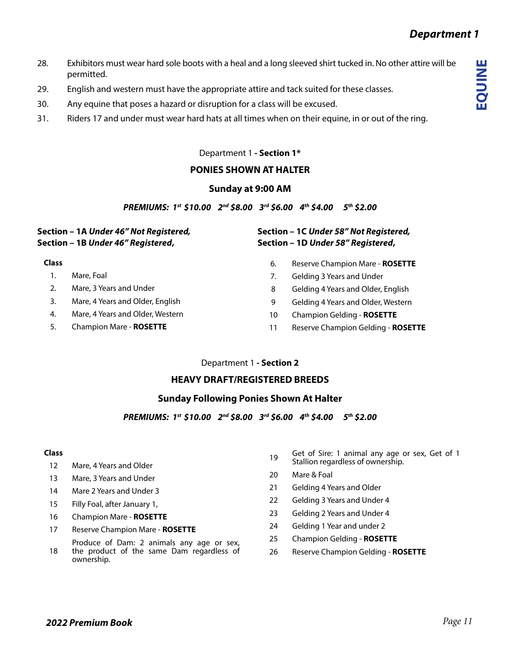**EQUINE**

- 28. Exhibitors must wear hard sole boots with a heal and a long sleeved shirt tucked in. No other attire will be permitted.
- 29. English and western must have the appropriate attire and tack suited for these classes.
- 30. Any equine that poses a hazard or disruption for a class will be excused.
- 31. Riders 17 and under must wear hard hats at all times when on their equine, in or out of the ring.

# Department 1 **- Section 1\***

# **PONIES SHOWN AT HALTER**

## **Sunday at 9:00 AM**

*PREMIUMS: 1st \$10.00 2nd \$8.00 3rd \$6.00 4th \$4.00 5th \$2.00* 

## **Section – 1A** *Under 46" Not Registered,* **Section – 1B** *Under 46" Registered***,**

### **Class**

- 1. Mare, Foal
- 2. Mare, 3 Years and Under
- 3. Mare, 4 Years and Older, English
- 4. Mare, 4 Years and Older, Western
- 5. Champion Mare **ROSETTE**

## **Section – 1C** *Under 58" Not Registered,* **Section – 1D** *Under 58" Registered***,**

- 6. Reserve Champion Mare **ROSETTE**
- 7. Gelding 3 Years and Under
- 8 Gelding 4 Years and Older, English
- 9 Gelding 4 Years and Older, Western
- 10 Champion Gelding **ROSETTE**
- 11 Reserve Champion Gelding **ROSETTE**

### Department 1 **- Section 2**

## **HEAVY DRAFT/REGISTERED BREEDS**

## **Sunday Following Ponies Shown At Halter**

*PREMIUMS: 1st \$10.00 2nd \$8.00 3rd \$6.00 4th \$4.00 5th \$2.00* 

#### **Class**

- 12 Mare, 4 Years and Older
- 13 Mare, 3 Years and Under
- 14 Mare 2 Years and Under 3
- 15 Filly Foal, after January 1,
- 16 Champion Mare **ROSETTE**
- 17 Reserve Champion Mare **ROSETTE**
- 18 Produce of Dam: 2 animals any age or sex, the product of the same Dam regardless of ownership.
- 19 Get of Sire: 1 animal any age or sex, Get of 1 Stallion regardless of ownership.
- 20 Mare & Foal
- 21 Gelding 4 Years and Older
- 22 Gelding 3 Years and Under 4
- 23 Gelding 2 Years and Under 4
- 24 Gelding 1 Year and under 2
- 25 Champion Gelding **ROSETTE**
- 26 Reserve Champion Gelding **ROSETTE**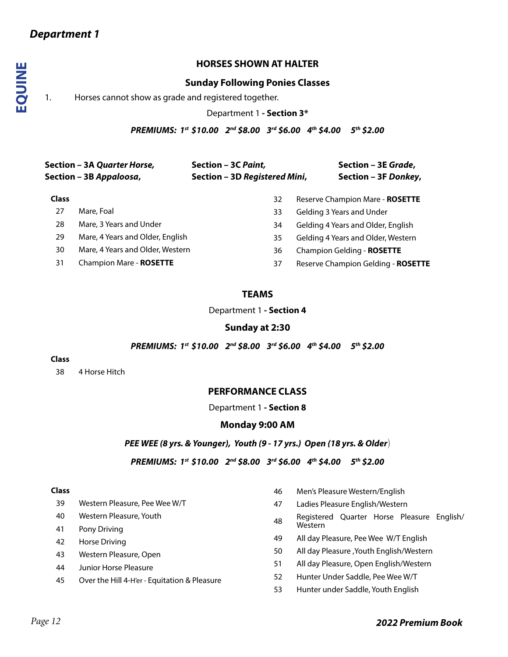# **HORSES SHOWN AT HALTER**

## **Sunday Following Ponies Classes**

1. Horses cannot show as grade and registered together.

Department 1 **- Section 3\***

*PREMIUMS: 1st \$10.00 2nd \$8.00 3rd \$6.00 4th \$4.00 5th \$2.00* 

|              | Section – 3A Quarter Horse,<br>Section – 3B Appaloosa, | Section - 3C Paint,<br>Section - 3D Registered Mini, | Section - 3E Grade,<br>Section - 3F Donkey, |
|--------------|--------------------------------------------------------|------------------------------------------------------|---------------------------------------------|
| <b>Class</b> |                                                        | 32                                                   | Reserve Champion Mare - ROSETTE             |
| 27           | Mare, Foal                                             | 33                                                   | Gelding 3 Years and Under                   |
| 28           | Mare, 3 Years and Under                                | 34                                                   | Gelding 4 Years and Older, English          |
| 29           | Mare, 4 Years and Older, English                       | 35                                                   | Gelding 4 Years and Older, Western          |
| 30           | Mare, 4 Years and Older, Western                       | 36                                                   | Champion Gelding - ROSETTE                  |
| 31           | <b>Champion Mare - ROSETTE</b>                         | 37                                                   | Reserve Champion Gelding - ROSETTE          |

## **TEAMS**

Department 1 **- Section 4**

## **Sunday at 2:30**

*PREMIUMS: 1st \$10.00 2nd \$8.00 3rd \$6.00 4th \$4.00 5th \$2.00* 

#### **Class**

38 4 Horse Hitch

### **PERFORMANCE CLASS**

Department 1 **- Section 8**

### **Monday 9:00 AM**

*PEE WEE (8 yrs. & Younger), Youth (9 - 17 yrs.) Open (18 yrs. & Older*)

*PREMIUMS: 1st \$10.00 2nd \$8.00 3rd \$6.00 4th \$4.00 5th \$2.00* 

#### **Class**

- 39 Western Pleasure, Pee Wee W/T
- 40 Western Pleasure, Youth
- 41 Pony Driving
- 42 Horse Driving
- 43 Western Pleasure, Open
- 44 Junior Horse Pleasure
- 45 Over the Hill 4-H'er Equitation & Pleasure
- 46 Men's Pleasure Western/English
- 47 Ladies Pleasure English/Western
- <sup>48</sup> Registered Quarter Horse Pleasure English/ Western
- 49 All day Pleasure, Pee Wee W/T English
- 50 All day Pleasure ,Youth English/Western
- 51 All day Pleasure, Open English/Western
- 52 Hunter Under Saddle, Pee Wee W/T
- 53 Hunter under Saddle, Youth English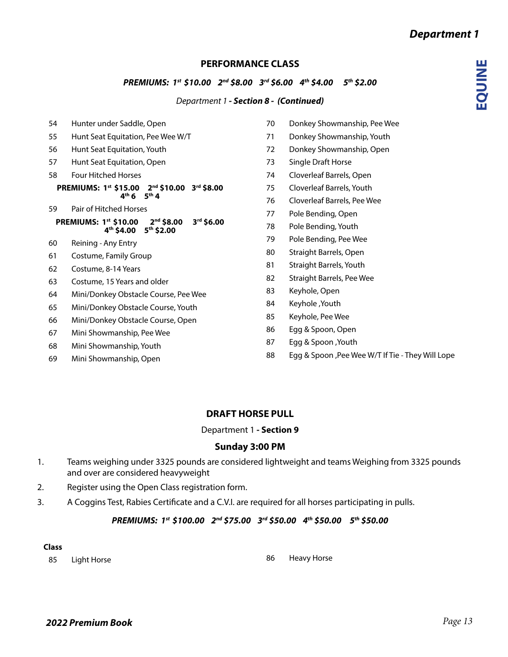**EQUINE**

# **PERFORMANCE CLASS**

## *PREMIUMS: 1st \$10.00 2nd \$8.00 3rd \$6.00 4th \$4.00 5th \$2.00*

### *Department 1 - Section 8 - (Continued)*

- Hunter under Saddle, Open Hunt Seat Equitation, Pee Wee W/T Hunt Seat Equitation, Youth Hunt Seat Equitation, Open Four Hitched Horses **PREMIUMS: 1st \$15.00 2nd \$10.00 3rd \$8.00 4th 6 5th 4** Pair of Hitched Horses **PREMIUMS: 1st \$10.00 2nd \$8.00 3rd \$6.00 4th \$4.00 5th \$2.00** Reining - Any Entry Costume, Family Group Costume, 8-14 Years Costume, 15 Years and older Mini/Donkey Obstacle Course, Pee Wee Mini/Donkey Obstacle Course, Youth Mini/Donkey Obstacle Course, Open
- Mini Showmanship, Pee Wee
- Mini Showmanship, Youth
- Mini Showmanship, Open
- Donkey Showmanship, Pee Wee
- Donkey Showmanship, Youth
- Donkey Showmanship, Open
- Single Draft Horse
- Cloverleaf Barrels, Open
- Cloverleaf Barrels, Youth
- Cloverleaf Barrels, Pee Wee
- Pole Bending, Open
- Pole Bending, Youth
- Pole Bending, Pee Wee
- Straight Barrels, Open
- Straight Barrels, Youth
- Straight Barrels, Pee Wee
- Keyhole, Open
- Keyhole ,Youth
- Keyhole, Pee Wee
- Egg & Spoon, Open
- Egg & Spoon ,Youth
- Egg & Spoon ,Pee Wee W/T If Tie They Will Lope

## **DRAFT HORSE PULL**

Department 1 **- Section 9**

## **Sunday 3:00 PM**

- 1. Teams weighing under 3325 pounds are considered lightweight and teams Weighing from 3325 pounds and over are considered heavyweight
- 2. Register using the Open Class registration form.
- 3. A Coggins Test, Rabies Certificate and a C.V.I. are required for all horses participating in pulls.

# *PREMIUMS: 1st \$100.00 2nd \$75.00 3rd \$50.00 4th \$50.00 5th \$50.00*

#### **Class**

*2022 Premium Book*

85 Light Horse **85** Light Horse